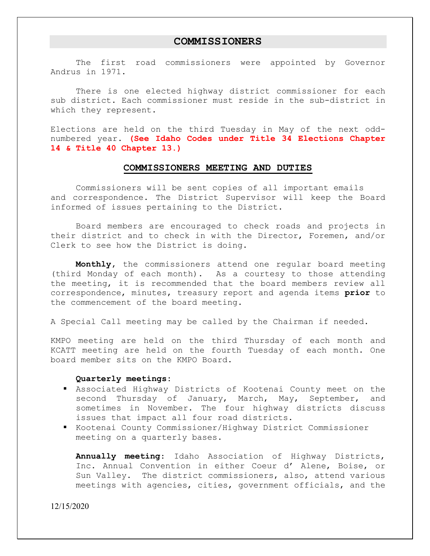### **COMMISSIONERS**

 The first road commissioners were appointed by Governor Andrus in 1971.

 There is one elected highway district commissioner for each sub district. Each commissioner must reside in the sub-district in which they represent.

Elections are held on the third Tuesday in May of the next oddnumbered year. **(See Idaho Codes under Title 34 Elections Chapter 14 & Title 40 Chapter 13.)** 

#### **COMMISSIONERS MEETING AND DUTIES**

 Commissioners will be sent copies of all important emails and correspondence. The District Supervisor will keep the Board informed of issues pertaining to the District.

 Board members are encouraged to check roads and projects in their district and to check in with the Director, Foremen, and/or Clerk to see how the District is doing.

**Monthly,** the commissioners attend one regular board meeting (third Monday of each month). As a courtesy to those attending the meeting, it is recommended that the board members review all correspondence, minutes, treasury report and agenda items **prior** to the commencement of the board meeting.

A Special Call meeting may be called by the Chairman if needed.

KMPO meeting are held on the third Thursday of each month and KCATT meeting are held on the fourth Tuesday of each month. One board member sits on the KMPO Board.

#### **Quarterly meetings:**

- Associated Highway Districts of Kootenai County meet on the second Thursday of January, March, May, September, and sometimes in November. The four highway districts discuss issues that impact all four road districts.
- Kootenai County Commissioner/Highway District Commissioner meeting on a quarterly bases.

**Annually meeting**: Idaho Association of Highway Districts, Inc. Annual Convention in either Coeur d' Alene, Boise, or Sun Valley. The district commissioners, also, attend various meetings with agencies, cities, government officials, and the

12/15/2020